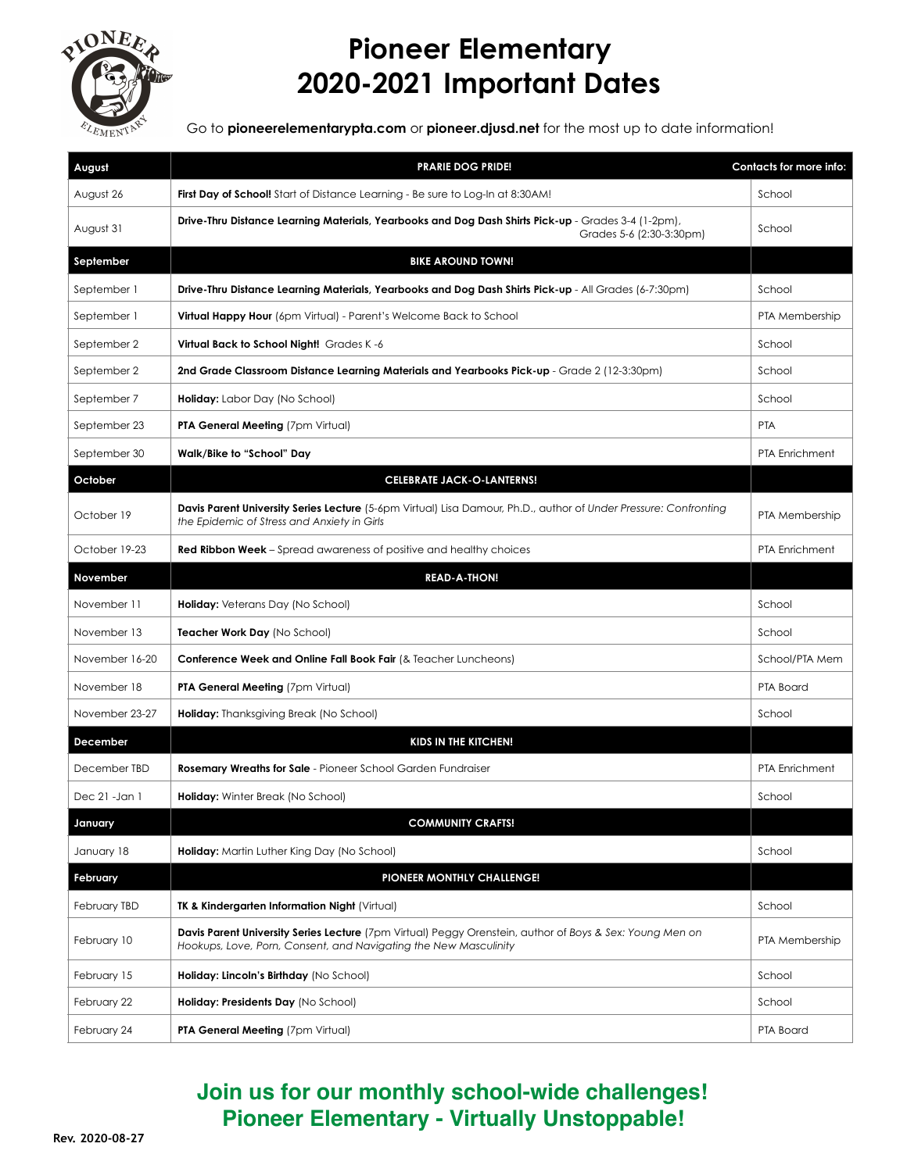

## **Pioneer Elementary 2020-2021 Important Dates**

Go to **pioneerelementarypta.com** or **pioneer.djusd.net** for the most up to date information!

| August         | <b>PRARIE DOG PRIDE!</b>                                                                                                                                                            | Contacts for more info: |
|----------------|-------------------------------------------------------------------------------------------------------------------------------------------------------------------------------------|-------------------------|
| August 26      | First Day of School! Start of Distance Learning - Be sure to Log-In at 8:30AM!                                                                                                      | School                  |
| August 31      | Drive-Thru Distance Learning Materials, Yearbooks and Dog Dash Shirts Pick-up - Grades 3-4 (1-2pm),<br>Grades 5-6 (2:30-3:30pm)                                                     | School                  |
| September      | <b>BIKE AROUND TOWN!</b>                                                                                                                                                            |                         |
| September 1    | Drive-Thru Distance Learning Materials, Yearbooks and Dog Dash Shirts Pick-up - All Grades (6-7:30pm)                                                                               | School                  |
| September 1    | Virtual Happy Hour (6pm Virtual) - Parent's Welcome Back to School                                                                                                                  | PTA Membership          |
| September 2    | Virtual Back to School Night! Grades K-6                                                                                                                                            | School                  |
| September 2    | 2nd Grade Classroom Distance Learning Materials and Yearbooks Pick-up - Grade 2 (12-3:30pm)                                                                                         | School                  |
| September 7    | <b>Holiday:</b> Labor Day (No School)                                                                                                                                               | School                  |
| September 23   | <b>PTA General Meeting (7pm Virtual)</b>                                                                                                                                            | <b>PTA</b>              |
| September 30   | Walk/Bike to "School" Day                                                                                                                                                           | <b>PTA Enrichment</b>   |
| October        | <b>CELEBRATE JACK-O-LANTERNS!</b>                                                                                                                                                   |                         |
| October 19     | Davis Parent University Series Lecture (5-6pm Virtual) Lisa Damour, Ph.D., author of Under Pressure: Confronting<br>the Epidemic of Stress and Anxiety in Girls                     | PTA Membership          |
| October 19-23  | Red Ribbon Week - Spread awareness of positive and healthy choices                                                                                                                  | <b>PTA Enrichment</b>   |
| November       | <b>READ-A-THON!</b>                                                                                                                                                                 |                         |
| November 11    | Holiday: Veterans Day (No School)                                                                                                                                                   | School                  |
| November 13    | Teacher Work Day (No School)                                                                                                                                                        | School                  |
| November 16-20 | <b>Conference Week and Online Fall Book Fair (&amp; Teacher Luncheons)</b>                                                                                                          | School/PTA Mem          |
| November 18    | <b>PTA General Meeting (7pm Virtual)</b>                                                                                                                                            | PTA Board               |
| November 23-27 | <b>Holiday:</b> Thanksgiving Break (No School)                                                                                                                                      | School                  |
| December       | KIDS IN THE KITCHEN!                                                                                                                                                                |                         |
| December TBD   | <b>Rosemary Wreaths for Sale</b> - Pioneer School Garden Fundraiser                                                                                                                 | PTA Enrichment          |
| Dec 21 -Jan 1  | <b>Holiday:</b> Winter Break (No School)                                                                                                                                            | School                  |
| January        | <b>COMMUNITY CRAFTS!</b>                                                                                                                                                            |                         |
| January 18     | Holiday: Martin Luther King Day (No School)                                                                                                                                         | School                  |
| February       | PIONEER MONTHLY CHALLENGE!                                                                                                                                                          |                         |
| February TBD   | <b>TK &amp; Kindergarten Information Night (Virtual)</b>                                                                                                                            | School                  |
| February 10    | <b>Davis Parent University Series Lecture</b> (7pm Virtual) Peggy Orenstein, author of Boys & Sex: Young Men on<br>Hookups, Love, Porn, Consent, and Navigating the New Masculinity | PTA Membership          |
| February 15    | Holiday: Lincoln's Birthday (No School)                                                                                                                                             | School                  |
| February 22    | Holiday: Presidents Day (No School)                                                                                                                                                 | School                  |
| February 24    | PTA General Meeting (7pm Virtual)                                                                                                                                                   | PTA Board               |

## **Join us for our monthly school-wide challenges! Pioneer Elementary - Virtually Unstoppable!**